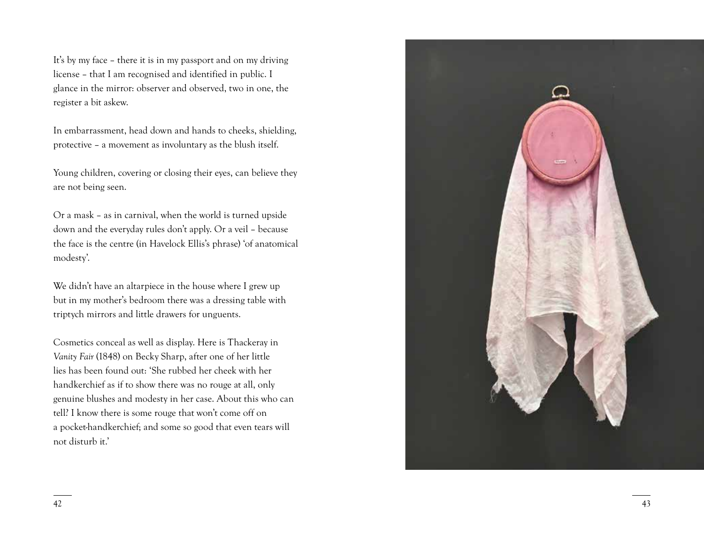It's by my face – there it is in my passport and on my driving license – that I am recognised and identified in public. I glance in the mirror: observer and observed, two in one, the register a bit askew.

In embarrassment, head down and hands to cheeks, shielding, protective – a movement as involuntary as the blush itself.

Young children, covering or closing their eyes, can believe they are not being seen.

Or a mask – as in carnival, when the world is turned upside down and the everyday rules don't apply. Or a veil – because the face is the centre (in Havelock Ellis's phrase) 'of anatomical modesty'.

We didn't have an altarpiece in the house where I grew up but in my mother's bedroom there was a dressing table with triptych mirrors and little drawers for unguents.

Cosmetics conceal as well as display. Here is Thackeray in *Vanity Fair* (1848) on Becky Sharp, after one of her little lies has been found out: 'She rubbed her cheek with her handkerchief as if to show there was no rouge at all, only genuine blushes and modesty in her case. About this who can tell? I know there is some rouge that won't come off on a pocket-handkerchief; and some so good that even tears will not disturb it.'

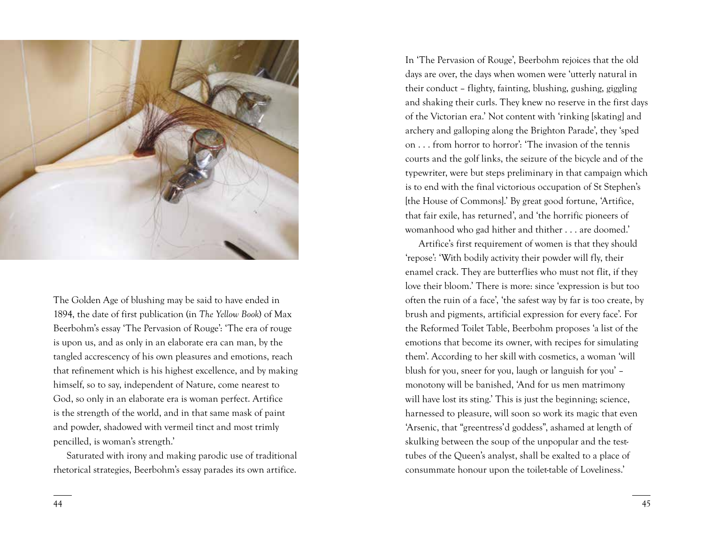

The Golden Age of blushing may be said to have ended in 1894, the date of first publication (in *The Yellow Book*) of Max Beerbohm's essay 'The Pervasion of Rouge': 'The era of rouge is upon us, and as only in an elaborate era can man, by the tangled accrescency of his own pleasures and emotions, reach that refinement which is his highest excellence, and by making himself, so to say, independent of Nature, come nearest to God, so only in an elaborate era is woman perfect. Artifice is the strength of the world, and in that same mask of paint and powder, shadowed with vermeil tinct and most trimly pencilled, is woman's strength.'

Saturated with irony and making parodic use of traditional rhetorical strategies, Beerbohm's essay parades its own artifice.

In 'The Pervasion of Rouge', Beerbohm rejoices that the old days are over, the days when women were 'utterly natural in their conduct – flighty, fainting, blushing, gushing, giggling and shaking their curls. They knew no reserve in the first days of the Victorian era.' Not content with 'rinking [skating] and archery and galloping along the Brighton Parade', they 'sped on . . . from horror to horror': 'The invasion of the tennis courts and the golf links, the seizure of the bicycle and of the typewriter, were but steps preliminary in that campaign which is to end with the final victorious occupation of St Stephen's [the House of Commons].' By great good fortune, 'Artifice, that fair exile, has returned', and 'the horrific pioneers of womanhood who gad hither and thither . . . are doomed.'

Artifice's first requirement of women is that they should 'repose': 'With bodily activity their powder will fly, their enamel crack. They are butterflies who must not flit, if they love their bloom.' There is more: since 'expression is but too often the ruin of a face', 'the safest way by far is too create, by brush and pigments, artificial expression for every face'. For the Reformed Toilet Table, Beerbohm proposes 'a list of the emotions that become its owner, with recipes for simulating them'. According to her skill with cosmetics, a woman 'will blush for you, sneer for you, laugh or languish for you' – monotony will be banished, 'And for us men matrimony will have lost its sting.' This is just the beginning; science, harnessed to pleasure, will soon so work its magic that even 'Arsenic, that "greentress'd goddess", ashamed at length of skulking between the soup of the unpopular and the testtubes of the Queen's analyst, shall be exalted to a place of consummate honour upon the toilet-table of Loveliness.'